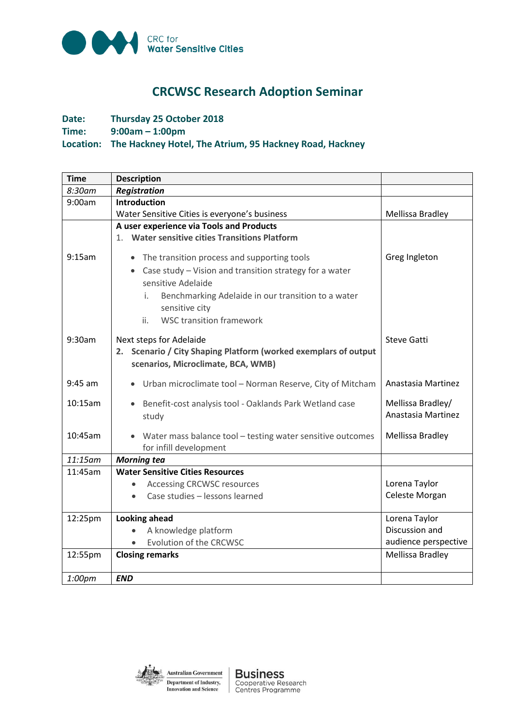

## **CRCWSC Research Adoption Seminar**

## **Date: Thursday 25 October 2018 Time: 9:00am – 1:00pm Location: The Hackney Hotel, The Atrium, 95 Hackney Road, Hackney**

| <b>Time</b> | <b>Description</b>                                                                                                                                                                                      |                                                         |
|-------------|---------------------------------------------------------------------------------------------------------------------------------------------------------------------------------------------------------|---------------------------------------------------------|
| 8:30am      | <b>Registration</b>                                                                                                                                                                                     |                                                         |
| 9:00am      | Introduction                                                                                                                                                                                            |                                                         |
|             | Water Sensitive Cities is everyone's business                                                                                                                                                           | Mellissa Bradley                                        |
| 9:15am      | A user experience via Tools and Products<br>1. Water sensitive cities Transitions Platform<br>• The transition process and supporting tools                                                             | Greg Ingleton                                           |
|             | • Case study - Vision and transition strategy for a water<br>sensitive Adelaide<br>Benchmarking Adelaide in our transition to a water<br>i.<br>sensitive city<br><b>WSC transition framework</b><br>ii. |                                                         |
| 9:30am      | Next steps for Adelaide<br>2. Scenario / City Shaping Platform (worked exemplars of output<br>scenarios, Microclimate, BCA, WMB)                                                                        | <b>Steve Gatti</b>                                      |
| $9:45$ am   | • Urban microclimate tool - Norman Reserve, City of Mitcham                                                                                                                                             | Anastasia Martinez                                      |
| 10:15am     | Benefit-cost analysis tool - Oaklands Park Wetland case<br>study                                                                                                                                        | Mellissa Bradley/<br>Anastasia Martinez                 |
| 10:45am     | • Water mass balance tool - testing water sensitive outcomes<br>for infill development                                                                                                                  | Mellissa Bradley                                        |
| 11:15am     | <b>Morning tea</b>                                                                                                                                                                                      |                                                         |
| 11:45am     | <b>Water Sensitive Cities Resources</b><br><b>Accessing CRCWSC resources</b><br>$\bullet$<br>Case studies - lessons learned                                                                             | Lorena Taylor<br>Celeste Morgan                         |
| 12:25pm     | <b>Looking ahead</b><br>A knowledge platform<br>Evolution of the CRCWSC                                                                                                                                 | Lorena Taylor<br>Discussion and<br>audience perspective |
| 12:55pm     | <b>Closing remarks</b>                                                                                                                                                                                  | Mellissa Bradley                                        |
| 1:00pm      | <b>END</b>                                                                                                                                                                                              |                                                         |